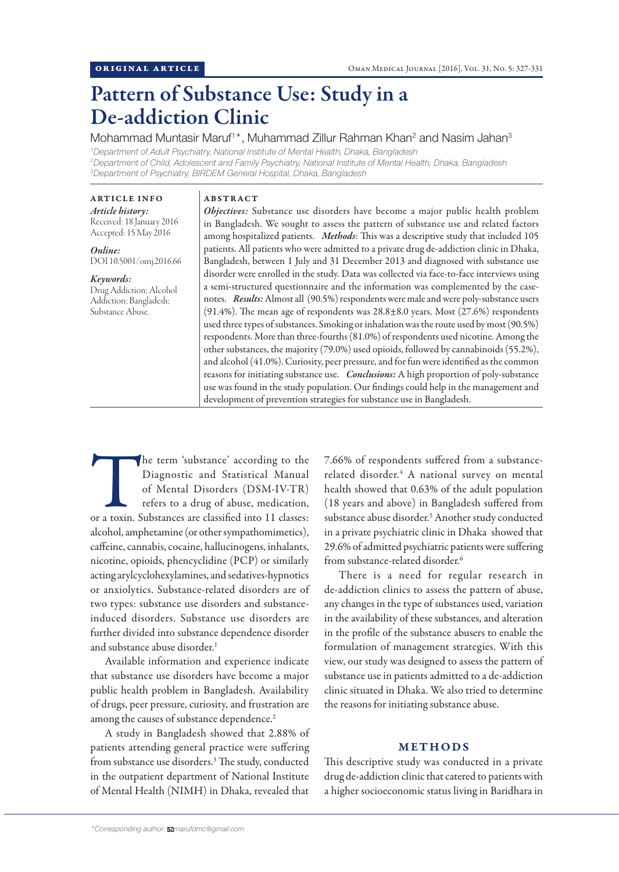# Pattern of Substance Use: Study in a De-addiction Clinic

Mohammad Muntasir Maruf<sup>1\*</sup>, Muhammad Zillur Rahman Khan<sup>2</sup> and Nasim Jahan<sup>3</sup> *1 Department of Adult Psychiatry, National Institute of Mental Health, Dhaka, Bangladesh 2 Department of Child, Adolescent and Family Psychiatry, National Institute of Mental Health, Dhaka, Bangladesh*

ARTICLE INFO *Article history:* Received: 18 January 2016

Accepted: 15 May 2016

*Online:* DOI 10.5001/omj.2016.66

# *Keywords:*

Drug Addiction; Alcohol Addiction; Bangladesh; Substance Abuse.

## ABSTRACT

*3 Department of Psychiatry, BIRDEM General Hospital, Dhaka, Bangladesh*

*Objectives:* Substance use disorders have become a major public health problem in Bangladesh. We sought to assess the pattern of substance use and related factors among hospitalized patients. *Methods*: This was a descriptive study that included 105 patients. All patients who were admitted to a private drug de-addiction clinic in Dhaka, Bangladesh, between 1 July and 31 December 2013 and diagnosed with substance use disorder were enrolled in the study. Data was collected via face-to-face interviews using a semi-structured questionnaire and the information was complemented by the casenotes. *Results:* Almost all (90.5%) respondents were male and were poly-substance users (91.4%). The mean age of respondents was 28.8±8.0 years. Most (27.6%) respondents used three types of substances. Smoking or inhalation was the route used by most (90.5%) respondents. More than three-fourths (81.0%) of respondents used nicotine. Among the other substances, the majority (79.0%) used opioids, followed by cannabinoids (55.2%), and alcohol (41.0%). Curiosity, peer pressure, and for fun were identified as the common reasons for initiating substance use. *Conclusions:* A high proportion of poly-substance use was found in the study population. Our findings could help in the management and development of prevention strategies for substance use in Bangladesh.

The term 'substance' according to the Diagnostic and Statistical Manual of Mental Disorders (DSM-IV-TR) refers to a drug of abuse, medication, or a toxin. Substances are classified into 11 classes: Diagnostic and Statistical Manual of Mental Disorders (DSM-IV-TR) refers to a drug of abuse, medication, alcohol, amphetamine (or other sympathomimetics), caffeine, cannabis, cocaine, hallucinogens, inhalants, nicotine, opioids, phencyclidine (PCP) or similarly acting arylcyclohexylamines, and sedatives-hypnotics or anxiolytics. Substance-related disorders are of two types: substance use disorders and substanceinduced disorders. Substance use disorders are further divided into substance dependence disorder and substance abuse disorder.<sup>1</sup>

Available information and experience indicate that substance use disorders have become a major public health problem in Bangladesh. Availability of drugs, peer pressure, curiosity, and frustration are among the causes of substance dependence.<sup>2</sup>

A study in Bangladesh showed that 2.88% of patients attending general practice were suffering from substance use disorders.<sup>3</sup> The study, conducted in the outpatient department of National Institute of Mental Health (NIMH) in Dhaka, revealed that

7.66% of respondents suffered from a substancerelated disorder.<sup>4</sup> A national survey on mental health showed that 0.63% of the adult population (18 years and above) in Bangladesh suffered from substance abuse disorder.<sup>5</sup> Another study conducted in a private psychiatric clinic in Dhaka showed that 29.6% of admitted psychiatric patients were suffering from substance-related disorder.<sup>6</sup>

There is a need for regular research in de-addiction clinics to assess the pattern of abuse, any changes in the type of substances used, variation in the availability of these substances, and alteration in the profile of the substance abusers to enable the formulation of management strategies. With this view, our study was designed to assess the pattern of substance use in patients admitted to a de-addiction clinic situated in Dhaka. We also tried to determine the reasons for initiating substance abuse.

# METHODS

This descriptive study was conducted in a private drug de-addiction clinic that catered to patients with a higher socioeconomic status living in Baridhara in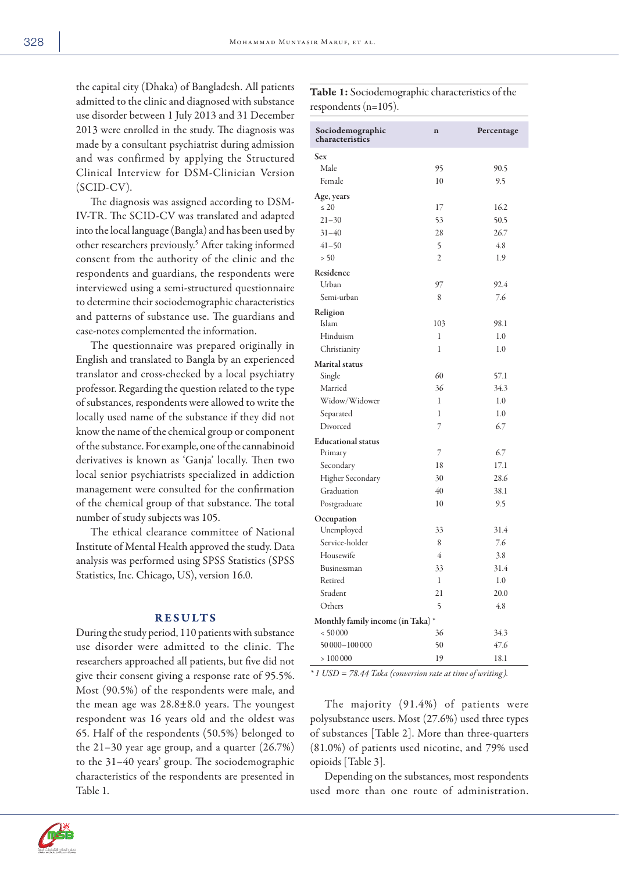the capital city (Dhaka) of Bangladesh. All patients admitted to the clinic and diagnosed with substance use disorder between 1 July 2013 and 31 December 2013 were enrolled in the study. The diagnosis was made by a consultant psychiatrist during admission and was confirmed by applying the Structured Clinical Interview for DSM-Clinician Version (SCID-CV).

The diagnosis was assigned according to DSM-IV-TR. The SCID-CV was translated and adapted into the local language (Bangla) and has been used by other researchers previously.<sup>5</sup> After taking informed consent from the authority of the clinic and the respondents and guardians, the respondents were interviewed using a semi-structured questionnaire to determine their sociodemographic characteristics and patterns of substance use. The guardians and case-notes complemented the information.

The questionnaire was prepared originally in English and translated to Bangla by an experienced translator and cross-checked by a local psychiatry professor. Regarding the question related to the type of substances, respondents were allowed to write the locally used name of the substance if they did not know the name of the chemical group or component of the substance. For example, one of the cannabinoid derivatives is known as 'Ganja' locally. Then two local senior psychiatrists specialized in addiction management were consulted for the confirmation of the chemical group of that substance. The total number of study subjects was 105.

The ethical clearance committee of National Institute of Mental Health approved the study. Data analysis was performed using SPSS Statistics (SPSS Statistics, Inc. Chicago, US), version 16.0.

### RESULTS

During the study period, 110 patients with substance use disorder were admitted to the clinic. The researchers approached all patients, but five did not give their consent giving a response rate of 95.5%. Most (90.5%) of the respondents were male, and the mean age was  $28.8 \pm 8.0$  years. The youngest respondent was 16 years old and the oldest was 65. Half of the respondents (50.5%) belonged to the 21–30 year age group, and a quarter (26.7%) to the 31–40 years' group. The sociodemographic characteristics of the respondents are presented in Table 1.

| Sociodemographic<br>characteristics | $\mathbf n$  | Percentage |
|-------------------------------------|--------------|------------|
| <b>Sex</b>                          |              |            |
| Male                                | 95           | 90.5       |
| Female                              | 10           | 9.5        |
| Age, years                          |              |            |
| $\leq 20$                           | 17           | 16.2       |
| $21 - 30$                           | 53           | 50.5       |
| $31 - 40$                           | 28           | 26.7       |
| $41 - 50$                           | 5            | 4.8        |
| > 50                                | 2            | 1.9        |
| Residence                           |              |            |
| Urban                               | 97           | 92.4       |
| Semi-urban                          | 8            | 7.6        |
| Religion                            |              |            |
| Islam                               | 103          | 98.1       |
| Hinduism                            | 1            | 1.0        |
| Christianity                        | 1            | 1.0        |
| Marital status                      |              |            |
| Single                              | 60           | 57.1       |
| Married                             | 36           | 34.3       |
| Widow/Widower                       | 1            | 1.0        |
| Separated                           | 1            | 1.0        |
| Divorced                            | 7            | 6.7        |
| <b>Educational</b> status           |              |            |
| Primary                             | 7            | 6.7        |
| Secondary                           | 18           | 17.1       |
| Higher Secondary                    | 30           | 28.6       |
| Graduation                          | 40           | 38.1       |
| Postgraduate                        | 10           | 9.5        |
| Occupation                          |              |            |
| Unemployed                          | 33           | 31.4       |
| Service-holder                      | 8            | 7.6        |
| Housewife                           | 4            | 3.8        |
| Businessman                         | 33           | 31.4       |
| Retired                             | $\mathbf{1}$ | $1.0\,$    |
| Student                             | 21           | 20.0       |
| Others                              | 5            | 4.8        |
| Monthly family income (in Taka)*    |              |            |
| < 50000                             | 36           | 34.3       |
| 50 000-100 000                      | 50           | 47.6       |
| >100000                             | 19           | 18.1       |

Table 1: Sociodemographic characteristics of the

respondents (n=105).

*\* 1 USD = 78.44 Taka (conversion rate at time of writing).*

The majority (91.4%) of patients were polysubstance users. Most (27.6%) used three types of substances [Table 2]. More than three-quarters (81.0%) of patients used nicotine, and 79% used opioids [Table 3].

Depending on the substances, most respondents used more than one route of administration.

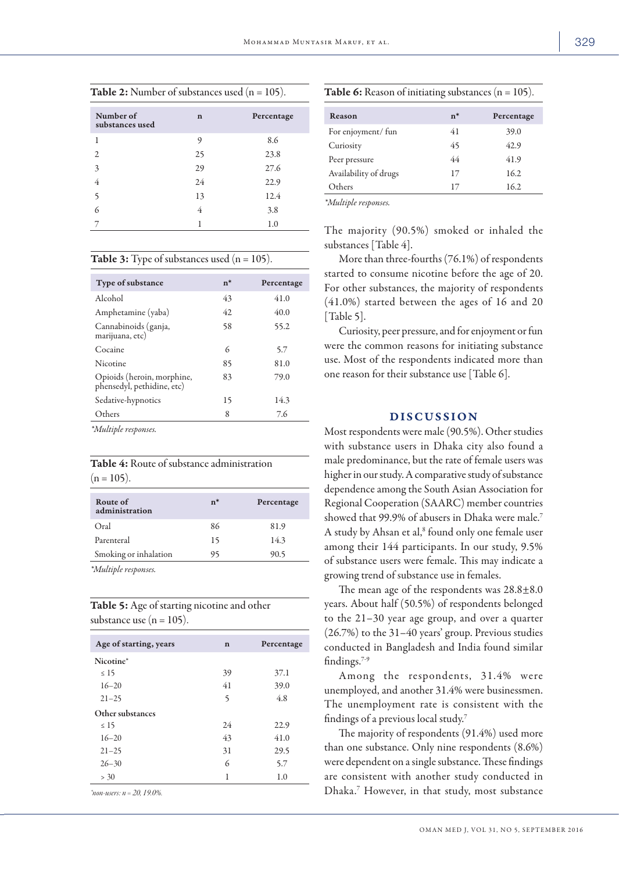| <b>Table 2:</b> Number of substances used $(n = 105)$ . |    |            |
|---------------------------------------------------------|----|------------|
| Number of<br>substances used                            | n  | Percentage |
| 1                                                       | 9  | 8.6        |
| 2                                                       | 25 | 23.8       |
| $\overline{\mathcal{E}}$                                | 29 | 27.6       |
|                                                         | 24 | 22.9       |
| 5                                                       | 13 | 12.4       |
| 6                                                       | 4  | 3.8        |
|                                                         |    | 1.0        |

**Table 3:** Type of substances used  $(n = 105)$ .

| Type of substance                                        | $n^*$ | Percentage |
|----------------------------------------------------------|-------|------------|
| Alcohol                                                  | 43    | 41.0       |
| Amphetamine (yaba)                                       | 42    | 40.0       |
| Cannabinoids (ganja,<br>marijuana, etc)                  | 58    | 55.2       |
| Cocaine                                                  | 6     | 5.7        |
| Nicotine                                                 | 85    | 81.0       |
| Opioids (heroin, morphine,<br>phensedyl, pethidine, etc) | 83    | 79.0       |
| Sedative-hypnotics                                       | 15    | 14.3       |
| Others                                                   | 8     | 7.6        |
| $* \lambda$ $I \cdot . \cdot I$ .                        |       |            |

*\*Multiple responses.*

Table 4: Route of substance administration  $(n = 105)$ .

| Route of<br>administration | $n^*$ | Percentage |
|----------------------------|-------|------------|
| Oral                       | 86    | 81.9       |
| Parenteral                 | 15    | 14.3       |
| Smoking or inhalation      | 95    | 90.5       |
| <i>*Multiple responses</i> |       |            |

*\*Multiple responses.*

| <b>Table 5:</b> Age of starting nicotine and other |  |
|----------------------------------------------------|--|
| substance use $(n = 105)$ .                        |  |

| Age of starting, years             | $\mathbf n$ | Percentage |
|------------------------------------|-------------|------------|
| Nicotine*                          |             |            |
| $\leq 15$                          | 39          | 37.1       |
| $16 - 20$                          | 41          | 39.0       |
| $21 - 25$                          | 5           | 4.8        |
| Other substances                   |             |            |
| $\leq 15$                          | 24          | 22.9       |
| $16 - 20$                          | 43          | 41.0       |
| $21 - 25$                          | 31          | 29.5       |
| $26 - 30$                          | 6           | 5.7        |
| > 30                               | 1           | 1.0        |
| $\sim$ $\sim$ $\sim$ $\sim$ $\sim$ |             |            |

*\*non-users: n = 20, 19.0%.*

|  |  | <b>Table 6:</b> Reason of initiating substances $(n = 105)$ . |  |
|--|--|---------------------------------------------------------------|--|
|--|--|---------------------------------------------------------------|--|

| $n^*$ | Percentage |
|-------|------------|
| 41    | 39.0       |
| 45    | 42.9       |
| 44    | 41.9       |
| 17    | 16.2       |
| 17    | 16.2       |
|       |            |

*\*Multiple responses.*

The majority (90.5%) smoked or inhaled the substances [Table 4].

More than three-fourths (76.1%) of respondents started to consume nicotine before the age of 20. For other substances, the majority of respondents (41.0%) started between the ages of 16 and 20 [Table 5].

Curiosity, peer pressure, and for enjoyment or fun were the common reasons for initiating substance use. Most of the respondents indicated more than one reason for their substance use [Table 6].

# DISCUSSION

Most respondents were male (90.5%). Other studies with substance users in Dhaka city also found a male predominance, but the rate of female users was higher in our study. A comparative study of substance dependence among the South Asian Association for Regional Cooperation (SAARC) member countries showed that 99.9% of abusers in Dhaka were male.7 A study by Ahsan et al,<sup>8</sup> found only one female user among their 144 participants. In our study, 9.5% of substance users were female. This may indicate a growing trend of substance use in females.

The mean age of the respondents was  $28.8\pm8.0$ years. About half (50.5%) of respondents belonged to the 21–30 year age group, and over a quarter (26.7%) to the 31–40 years' group. Previous studies conducted in Bangladesh and India found similar findings.7-9

Among the respondents, 31.4% were unemployed, and another 31.4% were businessmen. The unemployment rate is consistent with the findings of a previous local study.7

The majority of respondents (91.4%) used more than one substance. Only nine respondents (8.6%) were dependent on a single substance. These findings are consistent with another study conducted in Dhaka.7 However, in that study, most substance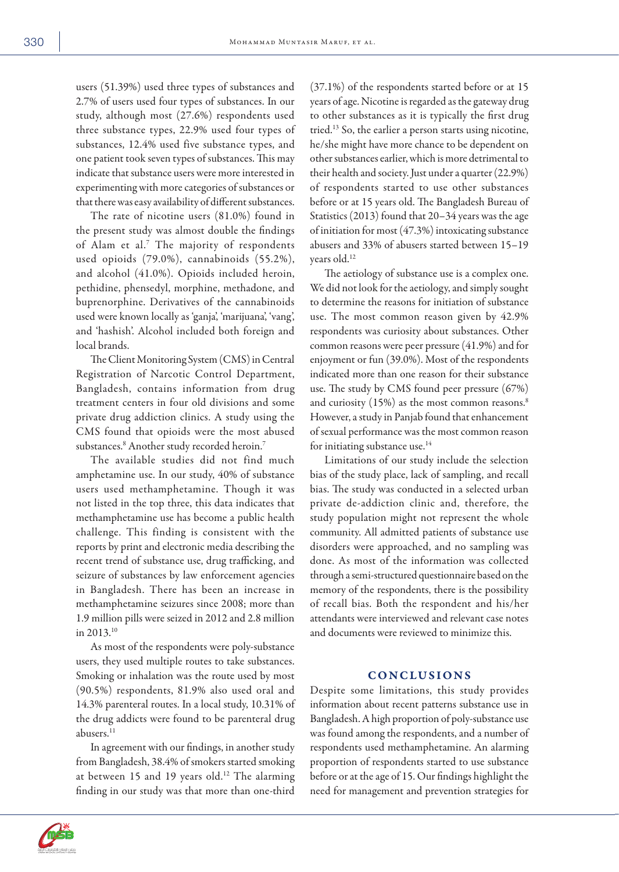users (51.39%) used three types of substances and 2.7% of users used four types of substances. In our study, although most (27.6%) respondents used three substance types, 22.9% used four types of substances, 12.4% used five substance types, and one patient took seven types of substances. This may indicate that substance users were more interested in experimenting with more categories of substances or that there was easy availability of different substances.

The rate of nicotine users (81.0%) found in the present study was almost double the findings of Alam et al.7 The majority of respondents used opioids (79.0%), cannabinoids (55.2%), and alcohol (41.0%). Opioids included heroin, pethidine, phensedyl, morphine, methadone, and buprenorphine. Derivatives of the cannabinoids used were known locally as 'ganja', 'marijuana', 'vang', and 'hashish'. Alcohol included both foreign and local brands.

The Client Monitoring System (CMS) in Central Registration of Narcotic Control Department, Bangladesh, contains information from drug treatment centers in four old divisions and some private drug addiction clinics. A study using the CMS found that opioids were the most abused substances.8 Another study recorded heroin.7

The available studies did not find much amphetamine use. In our study, 40% of substance users used methamphetamine. Though it was not listed in the top three, this data indicates that methamphetamine use has become a public health challenge. This finding is consistent with the reports by print and electronic media describing the recent trend of substance use, drug trafficking, and seizure of substances by law enforcement agencies in Bangladesh. There has been an increase in methamphetamine seizures since 2008; more than 1.9 million pills were seized in 2012 and 2.8 million in 2013.10

As most of the respondents were poly-substance users, they used multiple routes to take substances. Smoking or inhalation was the route used by most (90.5%) respondents, 81.9% also used oral and 14.3% parenteral routes. In a local study, 10.31% of the drug addicts were found to be parenteral drug abusers.<sup>11</sup>

In agreement with our findings, in another study from Bangladesh, 38.4% of smokers started smoking at between 15 and 19 years old.<sup>12</sup> The alarming finding in our study was that more than one-third

(37.1%) of the respondents started before or at 15 years of age. Nicotine is regarded as the gateway drug to other substances as it is typically the first drug tried.13 So, the earlier a person starts using nicotine, he/she might have more chance to be dependent on other substances earlier, which is more detrimental to their health and society. Just under a quarter (22.9%) of respondents started to use other substances before or at 15 years old. The Bangladesh Bureau of Statistics (2013) found that 20–34 years was the age of initiation for most (47.3%) intoxicating substance abusers and 33% of abusers started between 15–19 years old.12

The aetiology of substance use is a complex one. We did not look for the aetiology, and simply sought to determine the reasons for initiation of substance use. The most common reason given by 42.9% respondents was curiosity about substances. Other common reasons were peer pressure (41.9%) and for enjoyment or fun (39.0%). Most of the respondents indicated more than one reason for their substance use. The study by CMS found peer pressure (67%) and curiosity (15%) as the most common reasons.<sup>8</sup> However, a study in Panjab found that enhancement of sexual performance was the most common reason for initiating substance use.<sup>14</sup>

Limitations of our study include the selection bias of the study place, lack of sampling, and recall bias. The study was conducted in a selected urban private de-addiction clinic and, therefore, the study population might not represent the whole community. All admitted patients of substance use disorders were approached, and no sampling was done. As most of the information was collected through a semi-structured questionnaire based on the memory of the respondents, there is the possibility of recall bias. Both the respondent and his/her attendants were interviewed and relevant case notes and documents were reviewed to minimize this.

## CONCLUSIONS

Despite some limitations, this study provides information about recent patterns substance use in Bangladesh. A high proportion of poly-substance use was found among the respondents, and a number of respondents used methamphetamine. An alarming proportion of respondents started to use substance before or at the age of 15. Our findings highlight the need for management and prevention strategies for